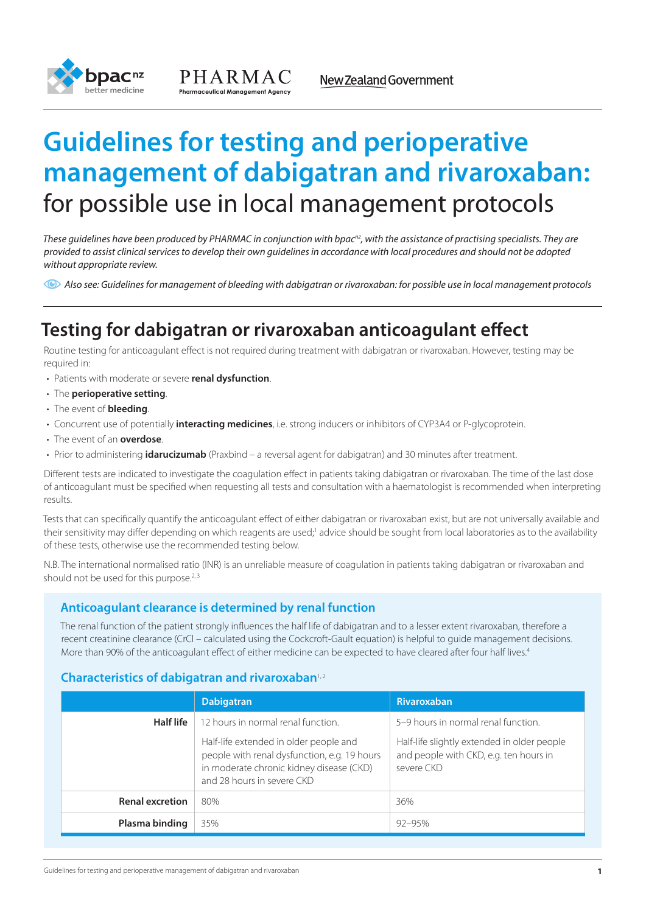



# **Guidelines for testing and perioperative management of dabigatran and rivaroxaban:** for possible use in local management protocols

*These guidelines have been produced by PHARMAC in conjunction with bpacnz, with the assistance of practising specialists. They are provided to assist clinical services to develop their own guidelines in accordance with local procedures and should not be adopted without appropriate review.*

*Also see: Guidelines for management of bleeding with dabigatran or rivaroxaban: for possible use in local management protocols* 

## **Testing for dabigatran or rivaroxaban anticoagulant effect**

Routine testing for anticoagulant effect is not required during treatment with dabigatran or rivaroxaban. However, testing may be required in:

- • Patients with moderate or severe **renal dysfunction**.
- • The **perioperative setting**.
- • The event of **bleeding**.
- • Concurrent use of potentially **interacting medicines**, i.e. strong inducers or inhibitors of CYP3A4 or P-glycoprotein.
- • The event of an **overdose**.
- • Prior to administering **idarucizumab** (Praxbind a reversal agent for dabigatran) and 30 minutes after treatment.

Different tests are indicated to investigate the coagulation effect in patients taking dabigatran or rivaroxaban. The time of the last dose of anticoagulant must be specified when requesting all tests and consultation with a haematologist is recommended when interpreting results.

Tests that can specifically quantify the anticoagulant effect of either dabigatran or rivaroxaban exist, but are not universally available and their sensitivity may differ depending on which reagents are used;<sup>1</sup> advice should be sought from local laboratories as to the availability of these tests, otherwise use the recommended testing below.

N.B. The international normalised ratio (INR) is an unreliable measure of coagulation in patients taking dabigatran or rivaroxaban and should not be used for this purpose. $2,3$ 

## **Anticoagulant clearance is determined by renal function**

The renal function of the patient strongly influences the half life of dabigatran and to a lesser extent rivaroxaban, therefore a recent creatinine clearance (CrCl – calculated using the Cockcroft-Gault equation) is helpful to guide management decisions. More than 90% of the anticoagulant effect of either medicine can be expected to have cleared after four half lives.<sup>4</sup>

## **Characteristics of dabigatran and rivaroxaban**<sup>1,2</sup>

|                        | <b>Dabigatran</b>                                                                                                                                                                                      | Rivaroxaban                                                                                                                                |
|------------------------|--------------------------------------------------------------------------------------------------------------------------------------------------------------------------------------------------------|--------------------------------------------------------------------------------------------------------------------------------------------|
| Half life              | 12 hours in normal renal function.<br>Half-life extended in older people and<br>people with renal dysfunction, e.g. 19 hours<br>in moderate chronic kidney disease (CKD)<br>and 28 hours in severe CKD | 5-9 hours in normal renal function.<br>Half-life slightly extended in older people<br>and people with CKD, e.g. ten hours in<br>severe CKD |
| <b>Renal excretion</b> | 80%                                                                                                                                                                                                    | 36%                                                                                                                                        |
| Plasma binding         | 35%                                                                                                                                                                                                    | $92 - 95%$                                                                                                                                 |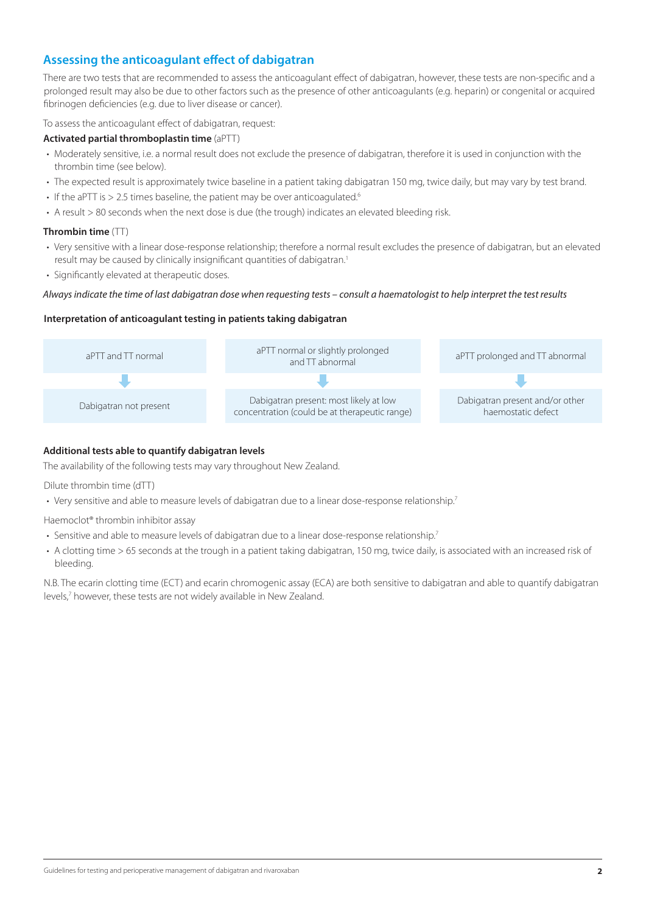## **Assessing the anticoagulant effect of dabigatran**

There are two tests that are recommended to assess the anticoagulant effect of dabigatran, however, these tests are non-specific and a prolonged result may also be due to other factors such as the presence of other anticoagulants (e.g. heparin) or congenital or acquired fibrinogen deficiencies (e.g. due to liver disease or cancer).

To assess the anticoagulant effect of dabigatran, request:

#### **Activated partial thromboplastin time** (aPTT)

- Moderately sensitive, i.e. a normal result does not exclude the presence of dabigatran, therefore it is used in conjunction with the thrombin time (see below).
- The expected result is approximately twice baseline in a patient taking dabigatran 150 mg, twice daily, but may vary by test brand.
- $\cdot$  If the aPTT is  $> 2.5$  times baseline, the patient may be over anticoagulated.<sup>6</sup>
- • A result > 80 seconds when the next dose is due (the trough) indicates an elevated bleeding risk.

## **Thrombin time** (TT)

- Very sensitive with a linear dose-response relationship; therefore a normal result excludes the presence of dabigatran, but an elevated result may be caused by clinically insignificant quantities of dabigatran.<sup>1</sup>
- Significantly elevated at therapeutic doses.

#### *Always indicate the time of last dabigatran dose when requesting tests – consult a haematologist to help interpret the test results*

#### **Interpretation of anticoagulant testing in patients taking dabigatran**



#### **Additional tests able to quantify dabigatran levels**

The availability of the following tests may vary throughout New Zealand.

Dilute thrombin time (dTT)

• Very sensitive and able to measure levels of dabigatran due to a linear dose-response relationship.<sup>7</sup>

Haemoclot® thrombin inhibitor assay

- Sensitive and able to measure levels of dabigatran due to a linear dose-response relationship.<sup>7</sup>
- A clotting time > 65 seconds at the trough in a patient taking dabigatran, 150 mg, twice daily, is associated with an increased risk of bleeding.

N.B. The ecarin clotting time (ECT) and ecarin chromogenic assay (ECA) are both sensitive to dabigatran and able to quantify dabigatran levels,7 however, these tests are not widely available in New Zealand.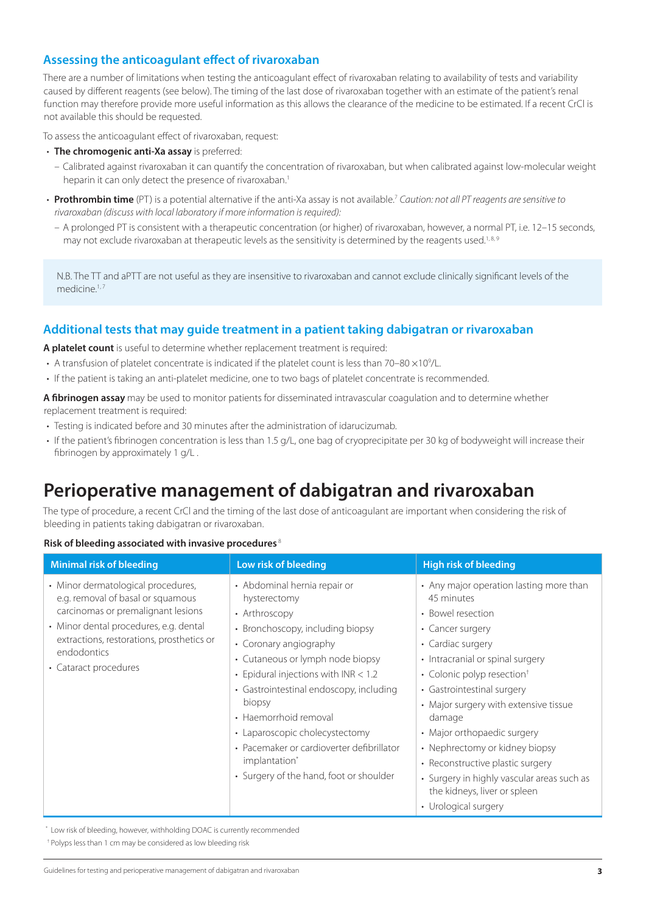## **Assessing the anticoagulant effect of rivaroxaban**

There are a number of limitations when testing the anticoagulant effect of rivaroxaban relating to availability of tests and variability caused by different reagents (see below). The timing of the last dose of rivaroxaban together with an estimate of the patient's renal function may therefore provide more useful information as this allows the clearance of the medicine to be estimated. If a recent CrCl is not available this should be requested.

To assess the anticoagulant effect of rivaroxaban, request:

- • **The chromogenic anti-Xa assay** is preferred:
	- Calibrated against rivaroxaban it can quantify the concentration of rivaroxaban, but when calibrated against low-molecular weight heparin it can only detect the presence of rivaroxaban.<sup>1</sup>
- • **Prothrombin time** (PT) is a potential alternative if the anti-Xa assay is not available.<sup>7</sup> *Caution: not all PT reagents are sensitive to rivaroxaban (discuss with local laboratory if more information is required):* 
	- – A prolonged PT is consistent with a therapeutic concentration (or higher) of rivaroxaban, however, a normal PT, i.e. 12–15 seconds, may not exclude rivaroxaban at therapeutic levels as the sensitivity is determined by the reagents used.<sup>1,8,9</sup>

N.B. The TT and aPTT are not useful as they are insensitive to rivaroxaban and cannot exclude clinically significant levels of the medicine.<sup>1, 7</sup>

## **Additional tests that may guide treatment in a patient taking dabigatran or rivaroxaban**

**A platelet count** is useful to determine whether replacement treatment is required:

- A transfusion of platelet concentrate is indicated if the platelet count is less than 70–80  $\times$ 10<sup>9</sup>/L.
- If the patient is taking an anti-platelet medicine, one to two bags of platelet concentrate is recommended.

**A fibrinogen assay** may be used to monitor patients for disseminated intravascular coagulation and to determine whether replacement treatment is required:

- Testing is indicated before and 30 minutes after the administration of idarucizumab.
- If the patient's fibrinogen concentration is less than 1.5 g/L, one bag of cryoprecipitate per 30 kg of bodyweight will increase their fibrinogen by approximately 1 g/L .

## **Perioperative management of dabigatran and rivaroxaban**

The type of procedure, a recent CrCl and the timing of the last dose of anticoagulant are important when considering the risk of bleeding in patients taking dabigatran or rivaroxaban.

## **Risk of bleeding associated with invasive procedures** <sup>8</sup>

| <b>Minimal risk of bleeding</b>                                                                                                                                                                                                              | Low risk of bleeding                                                                                                                                                                                                                                                                                                                                                                                                                           | <b>High risk of bleeding</b>                                                                                                                                                                                                                                                                                                                                                                                                                                                                  |
|----------------------------------------------------------------------------------------------------------------------------------------------------------------------------------------------------------------------------------------------|------------------------------------------------------------------------------------------------------------------------------------------------------------------------------------------------------------------------------------------------------------------------------------------------------------------------------------------------------------------------------------------------------------------------------------------------|-----------------------------------------------------------------------------------------------------------------------------------------------------------------------------------------------------------------------------------------------------------------------------------------------------------------------------------------------------------------------------------------------------------------------------------------------------------------------------------------------|
| • Minor dermatological procedures,<br>e.g. removal of basal or squamous<br>carcinomas or premalignant lesions<br>• Minor dental procedures, e.g. dental<br>extractions, restorations, prosthetics or<br>endodontics<br>• Cataract procedures | • Abdominal hernia repair or<br>hysterectomy<br>• Arthroscopy<br>• Bronchoscopy, including biopsy<br>• Coronary angiography<br>• Cutaneous or lymph node biopsy<br>• Epidural injections with $INR < 1.2$<br>• Gastrointestinal endoscopy, including<br>biopsy<br>• Haemorrhoid removal<br>• Laparoscopic cholecystectomy<br>• Pacemaker or cardioverter defibrillator<br>implantation <sup>*</sup><br>• Surgery of the hand, foot or shoulder | • Any major operation lasting more than<br>45 minutes<br>• Bowel resection<br>• Cancer surgery<br>• Cardiac surgery<br>• Intracranial or spinal surgery<br>• Colonic polyp resection <sup>+</sup><br>• Gastrointestinal surgery<br>• Major surgery with extensive tissue<br>damage<br>• Major orthopaedic surgery<br>• Nephrectomy or kidney biopsy<br>• Reconstructive plastic surgery<br>• Surgery in highly vascular areas such as<br>the kidneys, liver or spleen<br>• Urological surgery |

\* Low risk of bleeding, however, withholding DOAC is currently recommended

† Polyps less than 1 cm may be considered as low bleeding risk

Guidelines for testing and perioperative management of dabigatran and rivaroxaban **3**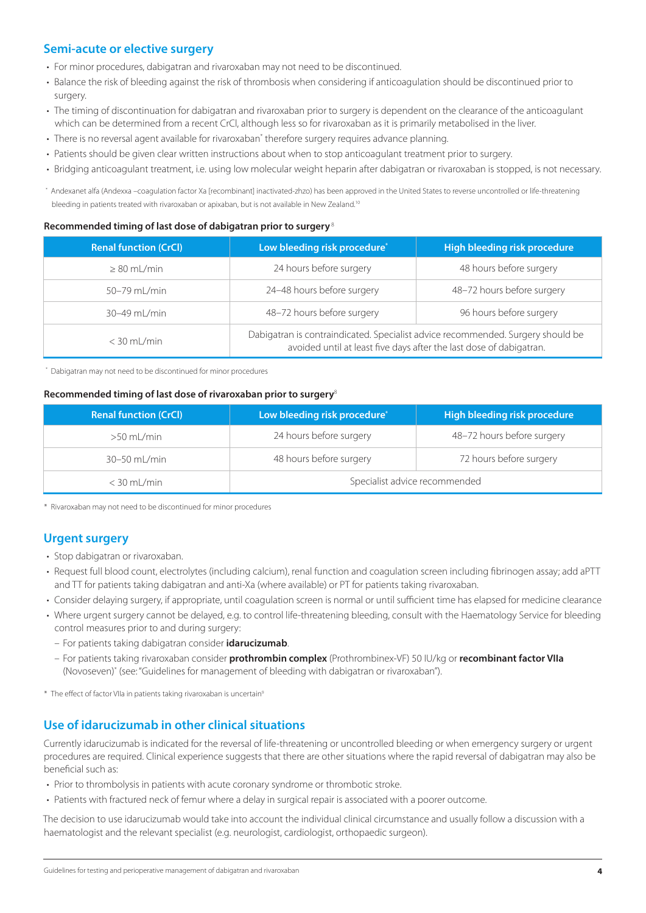## **Semi-acute or elective surgery**

- For minor procedures, dabigatran and rivaroxaban may not need to be discontinued.
- Balance the risk of bleeding against the risk of thrombosis when considering if anticoagulation should be discontinued prior to surgery.
- The timing of discontinuation for dabigatran and rivaroxaban prior to surgery is dependent on the clearance of the anticoagulant which can be determined from a recent CrCl, although less so for rivaroxaban as it is primarily metabolised in the liver.
- There is no reversal agent available for rivaroxaban\* therefore surgery requires advance planning.
- Patients should be given clear written instructions about when to stop anticoagulant treatment prior to surgery.
- • Bridging anticoagulant treatment, i.e. using low molecular weight heparin after dabigatran or rivaroxaban is stopped, is not necessary.

\* Andexanet alfa (Andexxa -coagulation factor Xa [recombinant] inactivated-zhzo) has been approved in the United States to reverse uncontrolled or life-threatening bleeding in patients treated with rivaroxaban or apixaban, but is not available in New Zealand.<sup>10</sup>

#### **Recommended timing of last dose of dabigatran prior to surgery**<sup>8</sup>

| <b>Renal function (CrCl)</b> | Low bleeding risk procedure*                                                                                                                           | High bleeding risk procedure |
|------------------------------|--------------------------------------------------------------------------------------------------------------------------------------------------------|------------------------------|
| $\geq 80$ mL/min             | 24 hours before surgery                                                                                                                                | 48 hours before surgery      |
| 50-79 mL/min                 | 24-48 hours before surgery                                                                                                                             | 48-72 hours before surgery   |
| 30-49 mL/min                 | 48-72 hours before surgery                                                                                                                             | 96 hours before surgery      |
| $<$ 30 mL/min                | Dabigatran is contraindicated. Specialist advice recommended. Surgery should be<br>avoided until at least five days after the last dose of dabigatran. |                              |

\* Dabigatran may not need to be discontinued for minor procedures

#### **Recommended timing of last dose of rivaroxaban prior to surgery**<sup>8</sup>

| <b>Renal function (CrCl)</b> | Low bleeding risk procedure*  | High bleeding risk procedure |
|------------------------------|-------------------------------|------------------------------|
| $>50$ mL/min                 | 24 hours before surgery       | 48-72 hours before surgery   |
| $30-50$ mL/min               | 48 hours before surgery       | 72 hours before surgery      |
| $<$ 30 mL/min                | Specialist advice recommended |                              |

\* Rivaroxaban may not need to be discontinued for minor procedures

## **Urgent surgery**

- Stop dabigatran or rivaroxaban.
- • Request full blood count, electrolytes (including calcium), renal function and coagulation screen including fibrinogen assay; add aPTT and TT for patients taking dabigatran and anti-Xa (where available) or PT for patients taking rivaroxaban.
- • Consider delaying surgery, if appropriate, until coagulation screen is normal or until sufficient time has elapsed for medicine clearance
- Where urgent surgery cannot be delayed, e.g. to control life-threatening bleeding, consult with the Haematology Service for bleeding control measures prior to and during surgery:
	- – For patients taking dabigatran consider **idarucizumab**.
	- – For patients taking rivaroxaban consider **prothrombin complex** (Prothrombinex-VF) 50 IU/kg or **recombinant factor VIIa** (Novoseven)\* (see:"Guidelines for management of bleeding with dabigatran or rivaroxaban").
- \* The effect of factor VIIa in patients taking rivaroxaban is uncertain<sup>9</sup>

## **Use of idarucizumab in other clinical situations**

Currently idarucizumab is indicated for the reversal of life-threatening or uncontrolled bleeding or when emergency surgery or urgent procedures are required. Clinical experience suggests that there are other situations where the rapid reversal of dabigatran may also be beneficial such as:

- Prior to thrombolysis in patients with acute coronary syndrome or thrombotic stroke.
- Patients with fractured neck of femur where a delay in surgical repair is associated with a poorer outcome.

The decision to use idarucizumab would take into account the individual clinical circumstance and usually follow a discussion with a haematologist and the relevant specialist (e.g. neurologist, cardiologist, orthopaedic surgeon).